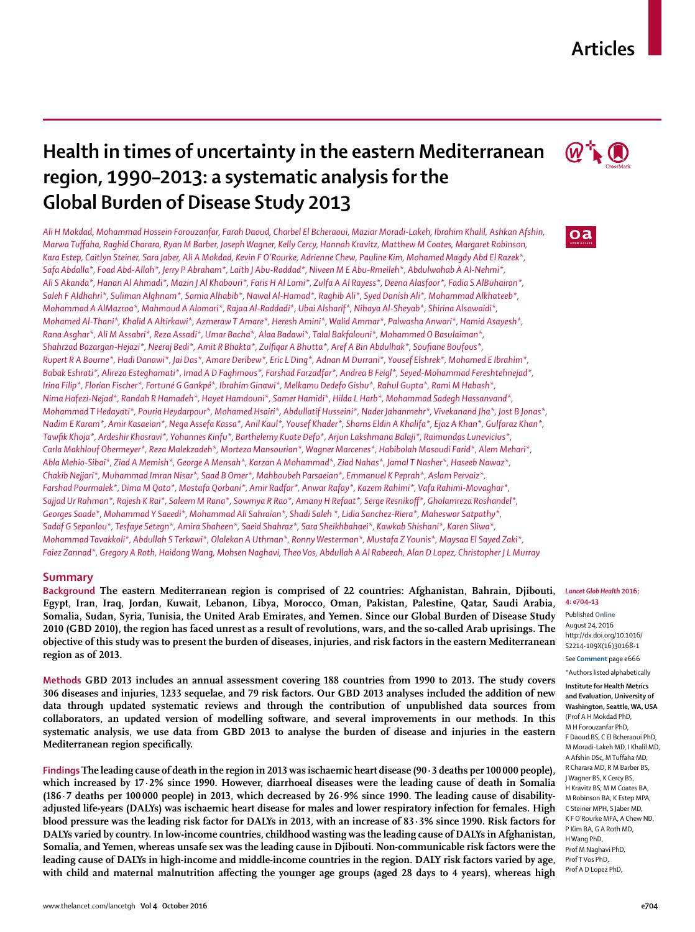## **Articles**

# **Health in times of uncertainty in the eastern Mediterranean region, 1990–2013: a systematic analysis for the Global Burden of Disease Study 2013**

*Ali H Mokdad, Mohammad Hossein Forouzanfar, Farah Daoud, Charbel El Bcheraoui, Maziar Moradi-Lakeh, Ibrahim Khalil, Ashkan Afshin, Marwa Tuff aha, Raghid Charara, Ryan M Barber, Joseph Wagner, Kelly Cercy, Hannah Kravitz, Matthew M Coates, Margaret Robinson, Kara Estep, Caitlyn Steiner, Sara Jaber, Ali A Mokdad, Kevin F O'Rourke, Adrienne Chew, Pauline Kim, Mohamed Magdy Abd El Razek\*, Safa Abdalla\*, Foad Abd-Allah\*, Jerry P Abraham\*, Laith J Abu-Raddad\*, Niveen M E Abu-Rmeileh\*, Abdulwahab A Al-Nehmi\*, Ali S Akanda\*, Hanan Al Ahmadi\*, Mazin J Al Khabouri\*, Faris H Al Lami\*, Zulfa A Al Rayess\*, Deena Alasfoor\*, Fadia S AlBuhairan\*, Saleh F Aldhahri\*, Suliman Alghnam\*, Samia Alhabib\*, Nawal Al-Hamad\*, Raghib Ali\*, Syed Danish Ali\*, Mohammad Alkhateeb\*, Mohammad A AlMazroa\*, Mahmoud A Alomari\*, Rajaa Al-Raddadi\*, Ubai Alsharif\*, Nihaya Al-Sheyab\*, Shirina Alsowaidi\*, Mohamed Al-Thani\*, Khalid A Altirkawi\*, Azmeraw T Amare\*, Heresh Amini\*, Walid Ammar\*, Palwasha Anwari\*, Hamid Asayesh\*, Rana Asghar\*, Ali M Assabri\*, Reza Assadi\*, Umar Bacha\*, Alaa Badawi\*, Talal Bakfalouni\*, Mohammed O Basulaiman\*,*  Shahrzad Bazargan-Hejazi\*, Neeraj Bedi\*, Amit R Bhakta\*, Zulfiqar A Bhutta\*, Aref A Bin Abdulhak\*, Soufiane Boufous\*, *Rupert R A Bourne\*, Hadi Danawi\*, Jai Das\*, Amare Deribew\*, Eric L Ding\*, Adnan M Durrani\*, Yousef Elshrek\*, Mohamed E Ibrahim\*, Babak Eshrati\*, Alireza Esteghamati\*, Imad A D Faghmous\*, Farshad Farzadfar\*, Andrea B Feigl\*, Seyed-Mohammad Fereshtehnejad\*, Irina Filip\*, Florian Fischer\*, Fortuné G Gankpé\*, Ibrahim Ginawi\*, Melkamu Dedefo Gishu\*, Rahul Gupta\*, Rami M Habash\*, Nima Hafezi-Nejad\*, Randah R Hamadeh\*, Hayet Hamdouni\*, Samer Hamidi\*, Hilda L Harb\*, Mohammad Sadegh Hassanvand\*, Mohammad T Hedayati\*, Pouria Heydarpour\*, Mohamed Hsairi\*, Abdullatif Husseini\*, Nader Jahanmehr\*, Vivekanand Jha\*, Jost B Jonas\*, Nadim E Karam\*, Amir Kasaeian\*, Nega Assefa Kassa\*, Anil Kaul\*, Yousef Khader\*, Shams Eldin A Khalifa\*, Ejaz A Khan\*, Gulfaraz Khan\*, Tawfi k Khoja\*, Ardeshir Khosravi\*, Yohannes Kinfu\*, Barthelemy Kuate Defo\*, Arjun Lakshmana Balaji\*, Raimundas Lunevicius\*, Carla Makhlouf Obermeyer\*, Reza Malekzadeh\*, Morteza Mansourian\*, Wagner Marcenes\*, Habibolah Masoudi Farid\*, Alem Mehari\*, Abla Mehio-Sibai\*, Ziad A Memish\*, George A Mensah\*, Karzan A Mohammad\*, Ziad Nahas\*, Jamal T Nasher\*, Haseeb Nawaz\*, Chakib Nejjari\*, Muhammad Imran Nisar\*, Saad B Omer\*, Mahboubeh Parsaeian\*, Emmanuel K Peprah\*, Aslam Pervaiz\*, Farshad Pourmalek\*, Dima M Qato\*, Mostafa Qorbani\*, Amir Radfar\*, Anwar Rafay\*, Kazem Rahimi\*, Vafa Rahimi-Movaghar\*, Sajjad Ur Rahman\*, Rajesh K Rai\*, Saleem M Rana\*, Sowmya R Rao\*, Amany H Refaat\*, Serge Resnikoff \*, Gholamreza Roshandel\*, Georges Saade\*, Mohammad Y Saeedi\*, Mohammad Ali Sahraian\*, Shadi Saleh \*, Lidia Sanchez-Riera\*, Maheswar Satpathy\*, Sadaf G Sepanlou\*, Tesfaye Setegn\*, Amira Shaheen\*, Saeid Shahraz\*, Sara Sheikhbahaei\*, Kawkab Shishani\*, Karen Sliwa\*, Mohammad Tavakkoli\*, Abdullah S Terkawi\*, Olalekan A Uthman\*, Ronny Westerman\*, Mustafa Z Younis\*, Maysaa El Sayed Zaki\*, Faiez Zannad\*, Gregory A Roth, Haidong Wang, Mohsen Naghavi, Theo Vos, Abdullah A Al Rabeeah, Alan D Lopez, Christopher J L Murray*

## **Summary**

**Background The eastern Mediterranean region is comprised of 22 countries: Afghanistan, Bahrain, Djibouti, Egypt, Iran, Iraq, Jordan, Kuwait, Lebanon, Libya, Morocco, Oman, Pakistan, Palestine, Qatar, Saudi Arabia, Somalia, Sudan, Syria, Tunisia, the United Arab Emirates, and Yemen. Since our Global Burden of Disease Study 2010 (GBD 2010), the region has faced unrest as a result of revolutions, wars, and the so-called Arab uprisings. The objective of this study was to present the burden of diseases, injuries, and risk factors in the eastern Mediterranean region as of 2013.**

**Methods GBD 2013 includes an annual assessment covering 188 countries from 1990 to 2013. The study covers 306 diseases and injuries, 1233 sequelae, and 79 risk factors. Our GBD 2013 analyses included the addition of new data through updated systematic reviews and through the contribution of unpublished data sources from collaborators, an updated version of modelling software, and several improvements in our methods. In this systematic analysis, we use data from GBD 2013 to analyse the burden of disease and injuries in the eastern Mediterranean region specifically.** 

**Findings The leading cause of death in the region in 2013 was ischaemic heart disease (90·3 deaths per 100 000 people), which increased by 17·2% since 1990. However, diarrhoeal diseases were the leading cause of death in Somalia (186·7 deaths per 100 000 people) in 2013, which decreased by 26·9% since 1990. The leading cause of disabilityadjusted life-years (DALYs) was ischaemic heart disease for males and lower respiratory infection for females. High blood pressure was the leading risk factor for DALYs in 2013, with an increase of 83·3% since 1990. Risk factors for DALYs varied by country. In low-income countries, childhood wasting was the leading cause of DALYs in Afghanistan, Somalia, and Yemen, whereas unsafe sex was the leading cause in Djibouti. Non-communicable risk factors were the leading cause of DALYs in high-income and middle-income countries in the region. DALY risk factors varied by age,**  with child and maternal malnutrition affecting the younger age groups (aged 28 days to 4 years), whereas high



## oa

#### *Lancet Glob Health* **2016; 4: e704–13**

Published **Online** August 24, 2016 http://dx.doi.org/10.1016/ S2214-109X(16)30168-1

See **Comment** page e666 \*Authors listed alphabetically

**Institute for Health Metrics and Evaluation, University of Washington, Seattle, WA, USA**  (Prof A H Mokdad PhD, M H Forouzanfar PhD, F Daoud BS, C El Bcheraoui PhD, M Moradi-Lakeh MD, I Khalil MD, A Afshin DSc, M Tuffaha MD, R Charara MD, R M Barber BS, J Wagner BS, K Cercy BS, H Kravitz BS, M M Coates BA, M Robinson BA, K Estep MPA, C Steiner MPH, S Jaber MD, K F O'Rourke MFA, A Chew ND, P Kim BA, G A Roth MD, H Wang PhD, Prof M Naghavi PhD, Prof T Vos PhD, Prof A D Lopez PhD,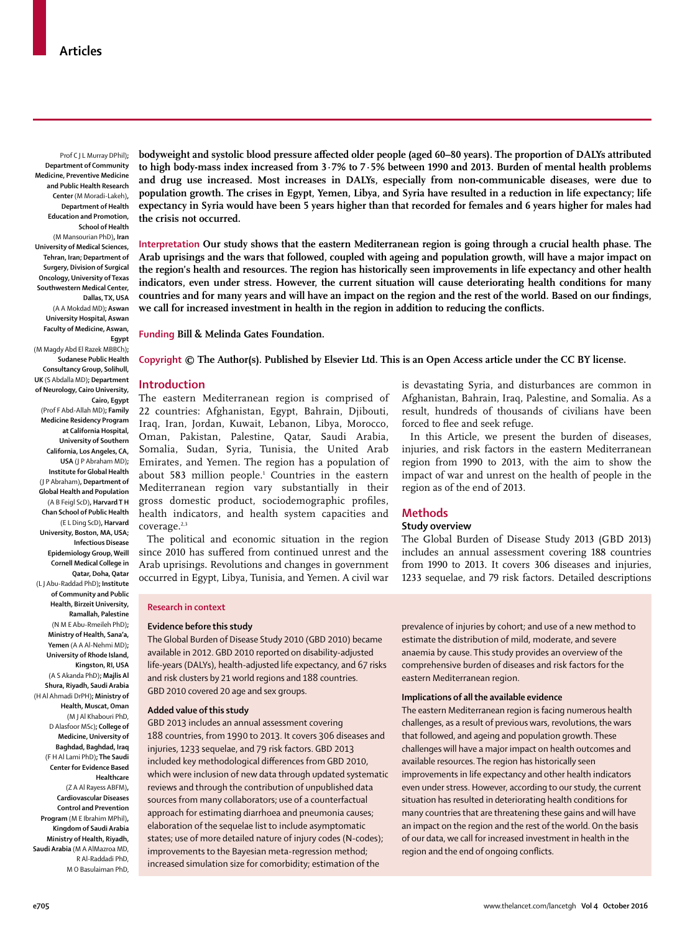Prof C J L Murray DPhil)**; Department of Community Medicine, Preventive Medicine and Public Health Research Center** (M Moradi-Lakeh)**, Department of Health Education and Promotion, School of Health**  (M Mansourian PhD)**, Iran University of Medical Sciences, Tehran, Iran; Department of Surgery, Division of Surgical Oncology, University of Texas Southwestern Medical Center, Dallas, TX, USA** 

(A A Mokdad MD)**; Aswan University Hospital, Aswan Faculty of Medicine, Aswan, Egypt** 

(M Magdy Abd El Razek MBBCh)**; Sudanese Public Health Consultancy Group, Solihull, UK** (S Abdalla MD)**; Department of Neurology, Cairo University, Cairo, Egypt**  (Prof F Abd-Allah MD)**; Family Medicine Residency Program at California Hospital, University of Southern California, Los Angeles, CA, USA** (J P Abraham MD)**; Institute for Global Health** (J P Abraham)**, Department of Global Health and Population**  (A B Feigl ScD)**, Harvard T H Chan School of Public Health**  (E L Ding ScD)**, Harvard University, Boston, MA, USA; Infectious Disease Epidemiology Group, Weill Cornell Medical College in Qatar, Doha, Qatar**  (L J Abu-Raddad PhD)**; Institute of Community and Public Health, Birzeit University, Ramallah, Palestine**  (N M E Abu-Rmeileh PhD)**; Ministry of Health, Sana'a, Yemen** (A A Al-Nehmi MD)**; University of Rhode Island, Kingston, RI, USA** (A S Akanda PhD)**; Majlis Al Shura, Riyadh, Saudi Arabia**  (H Al Ahmadi DrPH)**; Ministry of Health, Muscat, Oman** (M J Al Khabouri PhD, D Alasfoor MSc)**; College of Medicine, University of Baghdad, Baghdad, Iraq**  (F H Al Lami PhD)**; The Saudi Center for Evidence Based Healthcare** 

(Z A Al Rayess ABFM)**, Cardiovascular Diseases Control and Prevention Program** (M E Ibrahim MPhil)**, Kingdom of Saudi Arabia Ministry of Health, Riyadh, Saudi Arabia** (M A AlMazroa MD, R Al-Raddadi PhD, M O Basulaiman PhD, **bodyweight and systolic blood pressure affected older people (aged 60–80 years). The proportion of DALYs attributed to high body-mass index increased from 3·7% to 7·5% between 1990 and 2013. Burden of mental health problems and drug use increased. Most increases in DALYs, especially from non-communicable diseases, were due to population growth. The crises in Egypt, Yemen, Libya, and Syria have resulted in a reduction in life expectancy; life expectancy in Syria would have been 5 years higher than that recorded for females and 6 years higher for males had the crisis not occurred.**

**Interpretation Our study shows that the eastern Mediterranean region is going through a crucial health phase. The Arab uprisings and the wars that followed, coupled with ageing and population growth, will have a major impact on the region's health and resources. The region has historically seen improvements in life expectancy and other health indicators, even under stress. However, the current situation will cause deteriorating health conditions for many**  countries and for many years and will have an impact on the region and the rest of the world. Based on our findings, we call for increased investment in health in the region in addition to reducing the conflicts.

**Funding Bill & Melinda Gates Foundation.**

**Copyright © The Author(s). Published by Elsevier Ltd. This is an Open Access article under the CC BY license.**

#### **Introduction**

The eastern Mediterranean region is comprised of 22 countries: Afghanistan, Egypt, Bahrain, Djibouti, Iraq, Iran, Jordan, Kuwait, Lebanon, Libya, Morocco, Oman, Pakistan, Palestine, Qatar, Saudi Arabia, Somalia, Sudan, Syria, Tunisia, the United Arab Emirates, and Yemen. The region has a population of about 583 million people.1 Countries in the eastern Mediterranean region vary substantially in their gross domestic product, sociodemographic profiles, health indicators, and health system capacities and coverage.<sup>2,3</sup>

The political and economic situation in the region since 2010 has suffered from continued unrest and the Arab uprisings. Revolutions and changes in government occurred in Egypt, Libya, Tunisia, and Yemen. A civil war is devastating Syria, and disturbances are common in Afghanistan, Bahrain, Iraq, Palestine, and Somalia. As a result, hundreds of thousands of civilians have been forced to flee and seek refuge.

In this Article, we present the burden of diseases, injuries, and risk factors in the eastern Mediterranean region from 1990 to 2013, with the aim to show the impact of war and unrest on the health of people in the region as of the end of 2013.

## **Methods**

## **Study overview**

The Global Burden of Disease Study 2013 (GBD 2013) includes an annual assessment covering 188 countries from 1990 to 2013. It covers 306 diseases and injuries, 1233 sequelae, and 79 risk factors. Detailed descriptions

#### **Research in context**

#### **Evidence before this study**

The Global Burden of Disease Study 2010 (GBD 2010) became available in 2012. GBD 2010 reported on disability-adjusted life-years (DALYs), health-adjusted life expectancy, and 67 risks and risk clusters by 21 world regions and 188 countries. GBD 2010 covered 20 age and sex groups.

#### **Added value of this study**

GBD 2013 includes an annual assessment covering 188 countries, from 1990 to 2013. It covers 306 diseases and injuries, 1233 sequelae, and 79 risk factors. GBD 2013 included key methodological differences from GBD 2010, which were inclusion of new data through updated systematic reviews and through the contribution of unpublished data sources from many collaborators; use of a counterfactual approach for estimating diarrhoea and pneumonia causes; elaboration of the sequelae list to include asymptomatic states; use of more detailed nature of injury codes (N-codes); improvements to the Bayesian meta-regression method; increased simulation size for comorbidity; estimation of the

prevalence of injuries by cohort; and use of a new method to estimate the distribution of mild, moderate, and severe anaemia by cause. This study provides an overview of the comprehensive burden of diseases and risk factors for the eastern Mediterranean region.

#### **Implications of all the available evidence**

The eastern Mediterranean region is facing numerous health challenges, as a result of previous wars, revolutions, the wars that followed, and ageing and population growth. These challenges will have a major impact on health outcomes and available resources. The region has historically seen improvements in life expectancy and other health indicators even under stress. However, according to our study, the current situation has resulted in deteriorating health conditions for many countries that are threatening these gains and will have an impact on the region and the rest of the world. On the basis of our data, we call for increased investment in health in the region and the end of ongoing conflicts.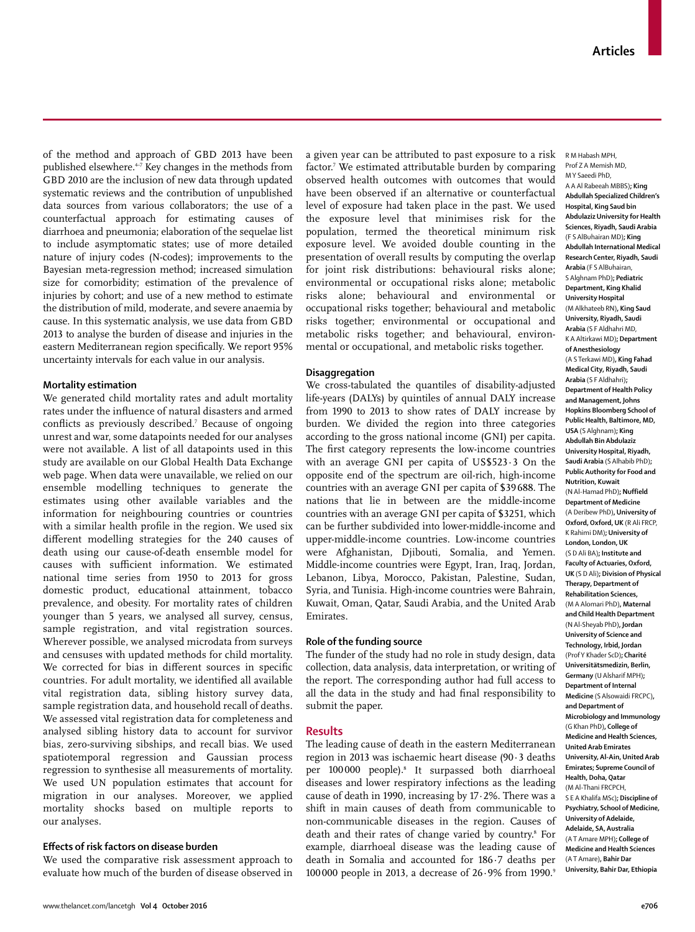of the method and approach of GBD 2013 have been published elsewhere. $47$  Key changes in the methods from GBD 2010 are the inclusion of new data through updated systematic reviews and the contribution of unpublished data sources from various collaborators; the use of a counterfactual approach for estimating causes of diarrhoea and pneumonia; elaboration of the sequelae list to include asymptomatic states; use of more detailed nature of injury codes (N-codes); improvements to the Bayesian meta-regression method; increased simulation size for comorbidity; estimation of the prevalence of injuries by cohort; and use of a new method to estimate the distribution of mild, moderate, and severe anaemia by cause. In this systematic analysis, we use data from GBD 2013 to analyse the burden of disease and injuries in the eastern Mediterranean region specifically. We report 95% uncertainty intervals for each value in our analysis.

## **Mortality estimation**

We generated child mortality rates and adult mortality rates under the influence of natural disasters and armed conflicts as previously described.<sup>7</sup> Because of ongoing unrest and war, some datapoints needed for our analyses were not available. A list of all datapoints used in this study are available on our Global Health Data Exchange web page. When data were unavailable, we relied on our ensemble modelling techniques to generate the estimates using other available variables and the information for neighbouring countries or countries with a similar health profile in the region. We used six different modelling strategies for the 240 causes of death using our cause-of-death ensemble model for causes with sufficient information. We estimated national time series from 1950 to 2013 for gross domestic product, educational attainment, tobacco prevalence, and obesity. For mortality rates of children younger than 5 years, we analysed all survey, census, sample registration, and vital registration sources. Wherever possible, we analysed microdata from surveys and censuses with updated methods for child mortality. We corrected for bias in different sources in specific countries. For adult mortality, we identified all available vital registration data, sibling history survey data, sample registration data, and household recall of deaths. We assessed vital registration data for completeness and analysed sibling history data to account for survivor bias, zero-surviving sibships, and recall bias. We used spatiotemporal regression and Gaussian process regression to synthesise all measurements of mortality. We used UN population estimates that account for migration in our analyses. Moreover, we applied mortality shocks based on multiple reports to our analyses.

## **Eff ects of risk factors on disease burden**

We used the comparative risk assessment approach to evaluate how much of the burden of disease observed in a given year can be attributed to past exposure to a risk factor.7 We estimated attributable burden by comparing observed health outcomes with outcomes that would have been observed if an alternative or counterfactual level of exposure had taken place in the past. We used the exposure level that minimises risk for the population, termed the theoretical minimum risk exposure level. We avoided double counting in the presentation of overall results by computing the overlap for joint risk distributions: behavioural risks alone; environmental or occupational risks alone; metabolic risks alone; behavioural and environmental or occupational risks together; behavioural and metabolic risks together; environmental or occupational and metabolic risks together; and behavioural, environmental or occupational, and metabolic risks together.

### **Disaggregation**

We cross-tabulated the quantiles of disability-adjusted life-years (DALYs) by quintiles of annual DALY increase from 1990 to 2013 to show rates of DALY increase by burden. We divided the region into three categories according to the gross national income (GNI) per capita. The first category represents the low-income countries with an average GNI per capita of US\$523·3 On the opposite end of the spectrum are oil-rich, high-income countries with an average GNI per capita of \$39 688. The nations that lie in between are the middle-income countries with an average GNI per capita of \$3251, which can be further subdivided into lower-middle-income and upper-middle-income countries. Low-income countries were Afghanistan, Djibouti, Somalia, and Yemen. Middle-income countries were Egypt, Iran, Iraq, Jordan, Lebanon, Libya, Morocco, Pakistan, Palestine, Sudan, Syria, and Tunisia. High-income countries were Bahrain, Kuwait, Oman, Qatar, Saudi Arabia, and the United Arab Emirates.

### **Role of the funding source**

The funder of the study had no role in study design, data collection, data analysis, data interpretation, or writing of the report. The corresponding author had full access to all the data in the study and had final responsibility to submit the paper.

## **Results**

The leading cause of death in the eastern Mediterranean region in 2013 was ischaemic heart disease (90·3 deaths per 100000 people).<sup>8</sup> It surpassed both diarrhoeal diseases and lower respiratory infections as the leading cause of death in 1990, increasing by 17·2%. There was a shift in main causes of death from communicable to non-communicable diseases in the region. Causes of death and their rates of change varied by country.<sup>8</sup> For example, diarrhoeal disease was the leading cause of death in Somalia and accounted for 186·7 deaths per 100000 people in 2013, a decrease of  $26.9\%$  from 1990.<sup>9</sup>

R M Habash MPH, Prof Z A Memish MD, M Y Saeedi PhD, A A Al Rabeeah MBBS)**; King Abdullah Specialized Children's Hospital, King Saud bin Abdulaziz University for Health Sciences, Riyadh, Saudi Arabia** (F S AlBuhairan MD)**; King Abdullah International Medical Research Center, Riyadh, Saudi Arabia** (F S AlBuhairan, S Alghnam PhD)**; Pediatric Department, King Khalid University Hospital**  (M Alkhateeb RN)**, King Saud University, Riyadh, Saudi Arabia** (S F Aldhahri MD, K A Altirkawi MD)**; Department of Anesthesiology**  (A S Terkawi MD)**, King Fahad Medical City, Riyadh, Saudi Arabia** (S F Aldhahri)**; Department of Health Policy and Management, Johns Hopkins Bloomberg School of Public Health, Baltimore, MD, USA** (S Alghnam)**; King Abdullah Bin Abdulaziz University Hospital, Riyadh, Saudi Arabia** (S Alhabib PhD)**; Public Authority for Food and Nutrition, Kuwait**  (N Al-Hamad PhD)**; Nuffield Department of Medicine**  (A Deribew PhD)**, University of Oxford, Oxford, UK** (R Ali FRCP, K Rahimi DM)**; University of London, London, UK**  (S D Ali BA)**; Institute and Faculty of Actuaries, Oxford, UK** (S D Ali)**; Division of Physical Therapy, Department of Rehabilitation Sciences,**  (M A Alomari PhD)**, Maternal and Child Health Department**  (N Al-Sheyab PhD)**, Jordan University of Science and Technology, Irbid, Jordan**  (Prof Y Khader ScD)**; Charité Universitätsmedizin, Berlin, Germany** (U Alsharif MPH)**; Department of Internal Medicine** (S Alsowaidi FRCPC)**, and Department of Microbiology and Immunology**  (G Khan PhD)**, College of Medicine and Health Sciences, United Arab Emirates University, Al-Ain, United Arab Emirates; Supreme Council of Health, Doha, Qatar**  (M Al-Thani FRCPCH, S E A Khalifa MSc)**; Discipline of Psychiatry, School of Medicine, University of Adelaide, Adelaide, SA, Australia**  (A T Amare MPH)**; College of Medicine and Health Sciences**  (A T Amare)**, Bahir Dar University, Bahir Dar, Ethiopia**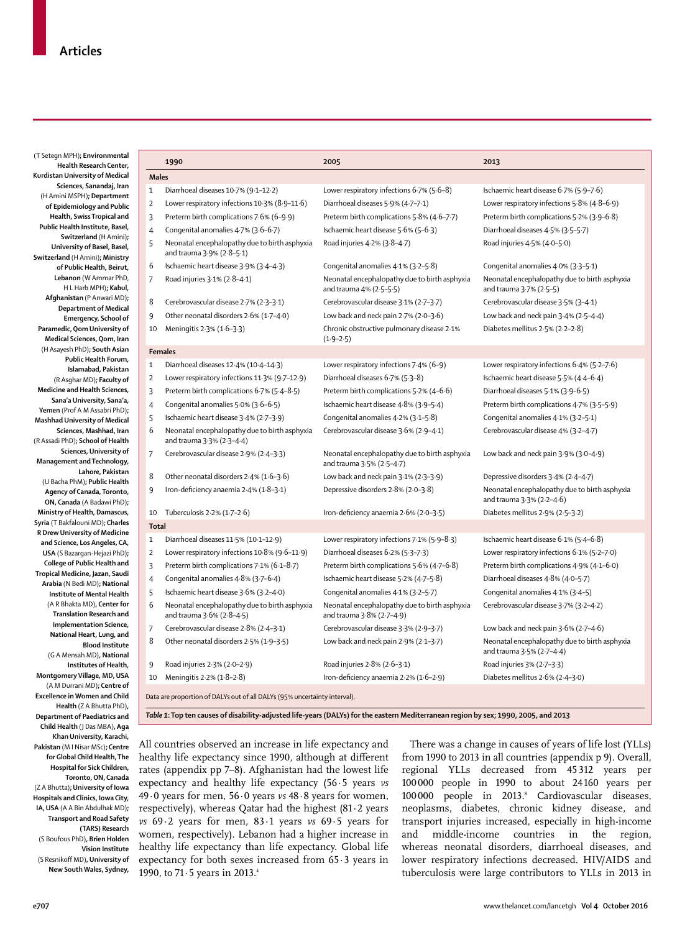| Health Research Center,                                                           | 1990                                                                       | 2005                                          | 2013                                                                          |
|-----------------------------------------------------------------------------------|----------------------------------------------------------------------------|-----------------------------------------------|-------------------------------------------------------------------------------|
| Kurdistan University of Medical                                                   | <b>Males</b>                                                               |                                               |                                                                               |
| Sciences, Sanandaj, Iran<br>$1\,$                                                 | Diarrhoeal diseases 10-7% (9-1-12-2)                                       | Lower respiratory infections 6.7% (5.6-8)     | Ischaemic heart disease 6.7% (5.9-7.6)                                        |
| (H Amini MSPH); Department<br>$\overline{2}$                                      | Lower respiratory infections 10-3% (8-9-11-6)                              | Diarrhoeal diseases 5.9% (4.7-7.1)            | Lower respiratory infections 5.8% (4.8-6.9)                                   |
| of Epidemiology and Public<br>Health, Swiss Tropical and                          |                                                                            |                                               |                                                                               |
| 3<br>Public Health Institute, Basel,                                              | Preterm birth complications 7.6% (6-9.9)                                   | Preterm birth complications 5.8% (4.6-7.7)    | Preterm birth complications 5.2% (3.9-6.8)                                    |
| $\overline{4}$<br>Switzerland (H Amini);                                          | Congenital anomalies 4.7% (3.6-6.7)                                        | Ischaemic heart disease 5.6% (5-6.3)          | Diarrhoeal diseases 4.5% (3.5-5.7)                                            |
| 5<br>University of Basel, Basel,                                                  | Neonatal encephalopathy due to birth asphyxia<br>and trauma 3.9% (2.8-5.1) | Road injuries 4.2% (3.8-4.7)                  | Road injuries 4.5% (4.0-5.0)                                                  |
| Switzerland (H Amini); Ministry<br>6<br>of Public Health, Beirut,                 | Ischaemic heart disease 3.9% (3.4-4.3)                                     | Congenital anomalies 4.1% (3.2-5.8)           | Congenital anomalies 4.0% (3.3-5.1)                                           |
| Lebanon (W Ammar PhD,<br>$\overline{7}$                                           | Road injuries 3.1% (2.8-4.1)                                               | Neonatal encephalopathy due to birth asphyxia | Neonatal encephalopathy due to birth asphyxia                                 |
| H L Harb MPH); Kabul,                                                             |                                                                            | and trauma $4% (2.5-5.5)$                     | and trauma 3.7% (2.5-5)                                                       |
| Afghanistan (P Anwari MD);<br>8                                                   | Cerebrovascular disease 2.7% (2.3-3.1)                                     | Cerebrovascular disease 3.1% (2.7-3.7)        | Cerebrovascular disease 3.5% (3-4.1)                                          |
| <b>Department of Medical</b><br>$9\,$<br>Emergency, School of                     | Other neonatal disorders 2.6% (1.7-4.0)                                    | Low back and neck pain $2.7%$ ( $2.0-3.6$ )   | Low back and neck pain 3-4% (2-5-4-4)                                         |
| Paramedic, Qom University of<br>10                                                | Meningitis 2.3% (1.6-3.3)                                                  | Chronic obstructive pulmonary disease 2.1%    | Diabetes mellitus 2.5% (2.2-2.8)                                              |
| Medical Sciences, Qom, Iran                                                       |                                                                            | $(1.9 - 2.5)$                                 |                                                                               |
| (H Asayesh PhD); South Asian                                                      | <b>Females</b>                                                             |                                               |                                                                               |
| Public Health Forum,                                                              |                                                                            |                                               |                                                                               |
| $\mathbf{1}$<br>Islamabad, Pakistan                                               | Diarrhoeal diseases 12.4% (10.4-14.3)                                      | Lower respiratory infections 7.4% (6-9)       | Lower respiratory infections 6.4% (5.2-7.6)                                   |
| $\overline{2}$<br>(R Asghar MD); Faculty of                                       | Lower respiratory infections 11.3% (9.7-12.9)                              | Diarrhoeal diseases 6.7% (5.3-8)              | Ischaemic heart disease 5.5% (4.4-6.4)                                        |
| Medicine and Health Sciences,<br>3                                                | Preterm birth complications 6.7% (5.4-8.5)                                 | Preterm birth complications 5.2% (4-6.6)      | Diarrhoeal diseases 5.1% (3.9-6.5)                                            |
| Sana'a University, Sana'a,<br>$\overline{4}$                                      | Congenital anomalies 5.0% (3.6-6.5)                                        | Ischaemic heart disease 4.8% (3.9-5.4)        | Preterm birth complications 4.7% (3.5-5.9)                                    |
| Yemen (Prof A M Assabri PhD);<br>5<br>Mashhad University of Medical               | Ischaemic heart disease 3.4% (2.7-3.9)                                     | Congenital anomalies 4.2% (3.1-5.8)           | Congenital anomalies 4.1% (3.2-5.1)                                           |
| 6<br>Sciences, Mashhad, Iran                                                      | Neonatal encephalopathy due to birth asphyxia                              | Cerebrovascular disease 3.6% (2.9-4.1)        | Cerebrovascular disease 4% (3-2-4-7)                                          |
| (R Assadi PhD) <b>; School of Health</b>                                          | and trauma 3.3% (2.3-4.4)                                                  |                                               |                                                                               |
| Sciences, University of<br>$\overline{7}$                                         | Cerebrovascular disease 2.9% (2.4-3.3)                                     | Neonatal encephalopathy due to birth asphyxia | Low back and neck pain $3.9\%$ ( $3.0-4.9$ )                                  |
| Management and Technology,                                                        |                                                                            | and trauma 3.5% (2.5-4.7)                     |                                                                               |
| Lahore, Pakistan<br>8                                                             | Other neonatal disorders 2.4% (1.6-3.6)                                    | Low back and neck pain $3.1\%$ (2.3-3.9)      | Depressive disorders 3.4% (2.4-4.7)                                           |
| (U Bacha PhM); Public Health                                                      |                                                                            |                                               |                                                                               |
| 9<br>Agency of Canada, Toronto,                                                   | Iron-deficiency anaemia 2.4% (1.8-3.1)                                     | Depressive disorders 2.8% (2.0-3.8)           | Neonatal encephalopathy due to birth asphyxia                                 |
| ON, Canada (A Badawi PhD);                                                        |                                                                            |                                               | and trauma 3.3% (2.2-4.6)                                                     |
| Ministry of Health, Damascus,                                                     | 10 Tuberculosis $2.2%$ (1.7-2.6)                                           | Iron-deficiency anaemia 2.6% (2.0-3.5)        | Diabetes mellitus 2.9% (2.5-3.2)                                              |
| Syria (T Bakfalouni MD); Charles<br><b>Total</b><br>R Drew University of Medicine |                                                                            |                                               |                                                                               |
| $\mathbf{1}$<br>and Science, Los Angeles, CA,                                     | Diarrhoeal diseases 11.5% (10.1-12.9)                                      | Lower respiratory infections 7-1% (5-9-8-3)   | Ischaemic heart disease 6-1% (5-4-6-8)                                        |
| $\overline{2}$<br>USA (S Bazargan-Hejazi PhD);                                    | Lower respiratory infections 10-8% (9-6-11-9)                              | Diarrhoeal diseases 6.2% (5.3-7.3)            | Lower respiratory infections 6.1% (5.2-7.0)                                   |
| College of Public Health and<br>3                                                 | Preterm birth complications 7.1% (6.1-8.7)                                 | Preterm birth complications 5.6% (4.7-6.8)    | Preterm birth complications 4.9% (4.1-6.0)                                    |
|                                                                                   |                                                                            |                                               |                                                                               |
| Tropical Medicine, Jazan, Saudi                                                   |                                                                            |                                               |                                                                               |
| $\overline{4}$<br>Arabia (N Bedi MD); National                                    | Congenital anomalies 4.8% (3.7-6.4)                                        | Ischaemic heart disease 5.2% (4.7-5.8)        | Diarrhoeal diseases 4.8% (4.0-5.7)                                            |
| 5<br>Institute of Mental Health                                                   | Ischaemic heart disease 3.6% (3.2-4.0)                                     | Congenital anomalies 4.1% (3.2-5.7)           | Congenital anomalies 4.1% (3.4-5)                                             |
| 6<br>(A R Bhakta MD), Center for                                                  | Neonatal encephalopathy due to birth asphyxia                              | Neonatal encephalopathy due to birth asphyxia | Cerebrovascular disease 3-7% (3-2-4-2)                                        |
| <b>Translation Research and</b>                                                   | and trauma 3.6% (2.8-4.5)                                                  | and trauma 3.8% (2.7-4.9)                     |                                                                               |
| Implementation Science,<br>$\overline{7}$                                         | Cerebrovascular disease 2.8% (2.4-3.1)                                     | Cerebrovascular disease 3.3% (2.9-3.7)        | Low back and neck pain $3.6%$ (2.7-4.6)                                       |
| National Heart, Lung, and<br>8<br><b>Blood Institute</b>                          | Other neonatal disorders 2.5% (1.9-3.5)                                    | Low back and neck pain $2.9%$ ( $2.1-3.7$ )   | Neonatal encephalopathy due to birth asphyxia<br>and trauma $3.5\%$ (2.7-4.4) |
| (G A Mensah MD), National                                                         |                                                                            |                                               |                                                                               |
| $9\,$<br>Institutes of Health,                                                    | Road injuries 2.3% (2.0-2.9)                                               | Road injuries 2.8% (2.6-3.1)                  | Road injuries 3% (2-7-3-3)                                                    |
| Montgomery Village, MD, USA<br>10<br>(A M Durrani MD); Centre of                  | Meningitis 2.2% (1.8-2.8)                                                  | Iron-deficiency anaemia 2.2% (1.6-2.9)        | Diabetes mellitus 2.6% (2.4-3.0)                                              |
| <b>Excellence in Women and Child</b><br>Health (Z A Bhutta PhD),                  | Data are proportion of DALYs out of all DALYs (95% uncertainty interval).  |                                               |                                                                               |

All countries observed an increase in life expectancy and healthy life expectancy since 1990, although at different rates (appendix pp 7–8). Afghanistan had the lowest life expectancy and healthy life expectancy (56·5 years *vs* 49·0 years for men, 56·0 years *vs* 48·8 years for women, respectively), whereas Qatar had the highest (81·2 years *vs* 69·2 years for men, 83·1 years *vs* 69·5 years for women, respectively). Lebanon had a higher increase in healthy life expectancy than life expectancy. Global life expectancy for both sexes increased from 65·3 years in 1990, to 71·5 years in 2013.4

There was a change in causes of years of life lost (YLLs) from 1990 to 2013 in all countries (appendix p 9). Overall, regional YLLs decreased from 45312 years per 100000 people in 1990 to about 24 160 years per 100000 people in 2013.<sup>8</sup> Cardiovascular diseases, neoplasms, diabetes, chronic kidney disease, and transport injuries increased, especially in high-income and middle-income countries in the region, whereas neonatal disorders, diarrhoeal diseases, and lower respiratory infections decreased. HIV/AIDS and tuberculosis were large contributors to YLLs in 2013 in

**Khan University, Karachi, Pakistan** (M I Nisar MSc)**; Centre for Global Child Health, The Hospital for Sick Children, Toronto, ON, Canada**  (Z A Bhutta)**; University of Iowa Hospitals and Clinics, Iowa City, IA, USA** (A A Bin Abdulhak MD)**; Transport and Road Safety (TARS) Research**  (S Boufous PhD)**, Brien Holden Vision Institute**

(S Resnikoff MD)**, University of New South Wales, Sydney,**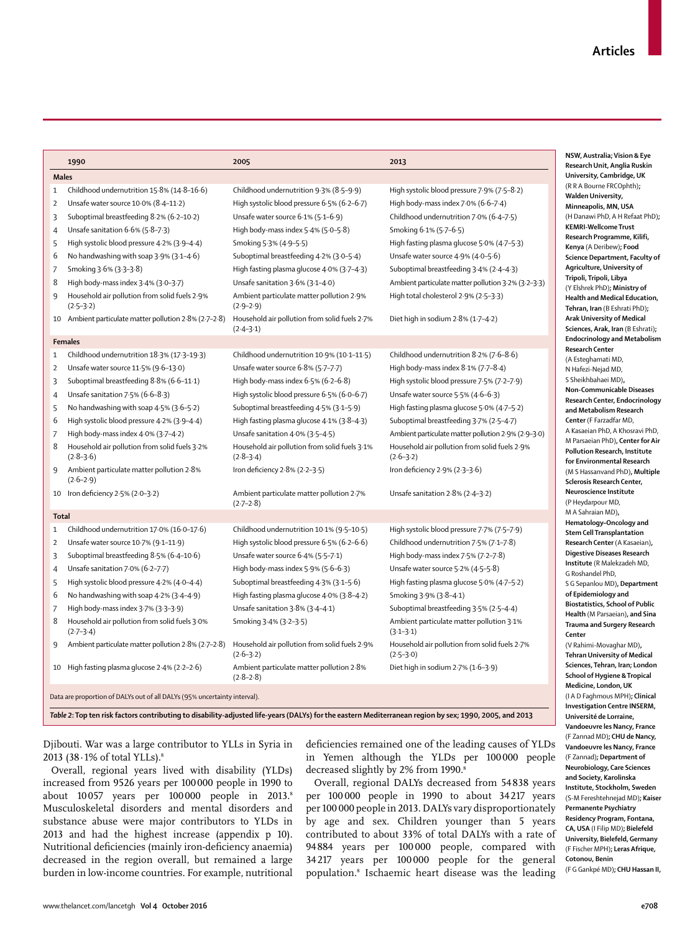|                | 1990                                                                      | 2005                                                           | 2013                                                           |
|----------------|---------------------------------------------------------------------------|----------------------------------------------------------------|----------------------------------------------------------------|
| <b>Males</b>   |                                                                           |                                                                |                                                                |
| $\mathbf{1}$   | Childhood undernutrition 15.8% (14.8-16.6)                                | Childhood undernutrition 9.3% (8.5-9.9)                        | High systolic blood pressure 7.9% (7.5-8.2)                    |
| $\overline{2}$ | Unsafe water source 10.0% (8.4-11.2)                                      | High systolic blood pressure 6.5% (6.2-6.7)                    | High body-mass index $7.0\%$ (6.6–7.4)                         |
| 3              | Suboptimal breastfeeding 8.2% (6.2-10.2)                                  | Unsafe water source 6.1% (5.1-6.9)                             | Childhood undernutrition 7.0% (6.4-7.5)                        |
| 4              | Unsafe sanitation 6.6% (5.8-7.3)                                          | High body-mass index 5.4% (5.0-5.8)                            | Smoking 6.1% (5.7-6.5)                                         |
| 5              | High systolic blood pressure 4.2% (3.9-4.4)                               | Smoking 5.3% (4.9-5.5)                                         | High fasting plasma glucose 5.0% (4.7-5.3)                     |
| 6              | No handwashing with soap $3.9\%$ ( $3.1-4.6$ )                            | Suboptimal breastfeeding 4.2% (3.0–5.4)                        | Unsafe water source 4.9% (4.0-5.6)                             |
| 7              | Smoking 3.6% (3.3-3.8)                                                    | High fasting plasma glucose 4.0% (3.7-4.3)                     | Suboptimal breastfeeding 3.4% (2.4-4.3)                        |
| 8              | High body-mass index 3.4% (3.0-3.7)                                       | Unsafe sanitation 3.6% (3.1-4.0)                               | Ambient particulate matter pollution 3.2% (3.2-3.3)            |
| 9              | Household air pollution from solid fuels 2.9%<br>$(2.5 - 3.2)$            | Ambient particulate matter pollution 2.9%<br>$(2.9 - 2.9)$     | High total cholesterol 2.9% (2.5-3.3)                          |
| 10             | Ambient particulate matter pollution 2.8% (2.7-2.8)                       | Household air pollution from solid fuels 2.7%<br>$(2.4 - 3.1)$ | Diet high in sodium $2.8\%$ (1.7-4.2)                          |
|                | <b>Females</b>                                                            |                                                                |                                                                |
| $\mathbf{1}$   | Childhood undernutrition 18.3% (17.3-19.3)                                | Childhood undernutrition 10.9% (10.1-11.5)                     | Childhood undernutrition 8.2% (7.6-8.6)                        |
| $\overline{2}$ | Unsafe water source 11.5% (9.6-13.0)                                      | Unsafe water source 6.8% (5.7-7.7)                             | High body-mass index $8.1\%$ (7.7- $8.4$ )                     |
| 3              | Suboptimal breastfeeding 8.8% (6.6-11.1)                                  | High body-mass index $6.5%$ ( $6.2-6.8$ )                      | High systolic blood pressure 7.5% (7.2-7.9)                    |
| 4              | Unsafe sanitation $7.5%$ (6.6-8.3)                                        | High systolic blood pressure 6.5% (6.0–6.7)                    | Unsafe water source $5.5\%$ (4.6-6.3)                          |
| 5              | No handwashing with soap 4.5% (3.6-5.2)                                   | Suboptimal breastfeeding 4.5% (3.1-5.9)                        | High fasting plasma glucose 5.0% (4.7-5.2)                     |
| 6              | High systolic blood pressure 4.2% (3.9-4.4)                               | High fasting plasma glucose 4.1% (3.8-4.3)                     | Suboptimal breastfeeding 3.7% (2.5-4.7)                        |
| 7              | High body-mass index 4.0% (3.7-4.2)                                       | Unsafe sanitation 4.0% (3.5-4.5)                               | Ambient particulate matter pollution 2.9% (2.9-3.0)            |
| 8              | Household air pollution from solid fuels 3.2%<br>$(2.8-3.6)$              | Household air pollution from solid fuels 3.1%<br>$(2.8-3.4)$   | Household air pollution from solid fuels 2.9%<br>$(2.6 - 3.2)$ |
| 9              | Ambient particulate matter pollution 2.8%<br>$(2.6 - 2.9)$                | Iron deficiency 2.8% (2.2-3.5)                                 | Iron deficiency 2.9% (2.3-3.6)                                 |
| 10             | Iron deficiency 2.5% (2.0-3.2)                                            | Ambient particulate matter pollution 2.7%<br>$(2.7 - 2.8)$     | Unsafe sanitation 2.8% (2.4-3.2)                               |
| <b>Total</b>   |                                                                           |                                                                |                                                                |
| $\mathbf{1}$   | Childhood undernutrition 17.0% (16.0-17.6)                                | Childhood undernutrition 10.1% (9.5-10.5)                      | High systolic blood pressure 7.7% (7.5-7.9)                    |
| $\overline{2}$ | Unsafe water source 10.7% (9.1-11.9)                                      | High systolic blood pressure $6.5%$ (6.2–6.6)                  | Childhood undernutrition 7.5% (7.1-7.8)                        |
| 3              | Suboptimal breastfeeding 8.5% (6.4-10.6)                                  | Unsafe water source 6.4% (5.5-7.1)                             | High body-mass index 7.5% (7.2-7.8)                            |
| 4              | Unsafe sanitation 7.0% (6.2-7.7)                                          | High body-mass index 5.9% (5.6-6.3)                            | Unsafe water source 5.2% (4.5-5.8)                             |
| 5              | High systolic blood pressure 4.2% (4.0-4.4)                               | Suboptimal breastfeeding 4.3% (3.1-5.6)                        | High fasting plasma glucose 5.0% (4.7-5.2)                     |
| 6              | No handwashing with soap $4.2\%$ (3.4-4.9)                                | High fasting plasma glucose 4.0% (3.8-4.2)                     | Smoking 3.9% (3.8-4.1)                                         |
| 7              | High body-mass index 3.7% (3.3-3.9)                                       | Unsafe sanitation 3.8% (3.4-4.1)                               | Suboptimal breastfeeding 3.5% (2.5-4.4)                        |
| 8              | Household air pollution from solid fuels 3.0%<br>$(2.7 - 3.4)$            | Smoking 3.4% (3.2-3.5)                                         | Ambient particulate matter pollution 3.1%<br>$(3.1 - 3.1)$     |
| 9              | Ambient particulate matter pollution 2.8% (2.7-2.8)                       | Household air pollution from solid fuels 2.9%<br>$(2.6 - 3.2)$ | Household air pollution from solid fuels 2.7%<br>$(2.5-3.0)$   |
| 10             | High fasting plasma glucose 2.4% (2.2-2.6)                                | Ambient particulate matter pollution 2.8%<br>$(2.8 - 2.8)$     | Diet high in sodium $2.7\%$ (1.6-3.9)                          |
|                | Data are proportion of DALYs out of all DALYs (95% uncertainty interval). |                                                                |                                                                |

Djibouti. War was a large contributor to YLLs in Syria in 2013 (38 · 1% of total YLLs).<sup>8</sup>

Overall, regional years lived with disability (YLDs) increased from 9526 years per 100 000 people in 1990 to about 10057 years per 100000 people in 2013.8 Musculoskeletal disorders and mental disorders and substance abuse were major contributors to YLDs in 2013 and had the highest increase (appendix p 10). Nutritional deficiencies (mainly iron-deficiency anaemia) decreased in the region overall, but remained a large burden in low-income countries. For example, nutritional deficiencies remained one of the leading causes of YLDs in Yemen although the YLDs per 100 000 people decreased slightly by 2% from 1990.<sup>8</sup>

Overall, regional DALYs decreased from 54 838 years per 100 000 people in 1990 to about 34 217 years per 100 000 people in 2013. DALYs vary disproportionately by age and sex. Children younger than 5 years contributed to about 33% of total DALYs with a rate of 94 884 years per 100 000 people, compared with 34 217 years per 100 000 people for the general population.8 Ischaemic heart disease was the leading

**NSW, Australia; Vision & Eye Research Unit, Anglia Ruskin University, Cambridge, UK**  (*I*rne FRCOphth); **Malden** University, **Minneapolis, MN, USA**  i PhD, A H Refaat PhD)**; KEMRI-Wellcome Trust Research Programme, Kilifi,**   $Deribew$ ; **Food Science Department, Faculty of Agriculture, University of Tripoli, Tripoli, Libya**  (PhD)**: Ministry of d Medical Education Tehran, Iran** (B Eshrati PhD)**; Arak University of Medical Sciences, Arak, Iran** (B Eshrati)**; Endocrinology and Metabolism**  Center amati MD Nejad MD, ahaei MD)**, Non-Communicable Diseases Research Center, Endocrinology and Metabolism Research Farzadfar MD.** n PhD, A Khosravi PhD an PhD)**, Center for Air Pollution Research, Institute for Environmental Research**  (M S Hassanvand PhD)**, Multiple Sclerosis Research Center, Neuroscience Institute** nour MD .<br>uan MD)**, Hematology–Oncology and Stem Cell Transplantation Research Center** (A Kasaeian)**, Digestive Diseases Research Institute** (R Malekzadeh MD, del PhD. lou MD), Department **of Epidemiology and Biostatistics, School of Public Health** (M Parsaeian)**, and Sina Trauma and Surgery Research**  -Movaghar MD), **Tehran University of Medical Sciences, Tehran, Iran; London Hygiene & Tropical Medicine, London, UK**  (I A D Faghmous MPH)**; Clinical Investigation Centre INSERM, Université de Lorraine, Vandoeuvre les Nancy, France**  (F Zannad MD)**; CHU de Nancy, Vandoeuvre les Nancy, France**  (F Zannad)**; Department of Neurobiology, Care Sciences and Society, Karolinska Institute, Stockholm, Sweden**  (S-M Fereshtehnejad MD)**; Kaiser Permanente Psychiatry Residency Program, Fontana, CA, USA** (I Filip MD)**; Bielefeld University, Bielefeld, Germany**  (F Fischer MPH)**; Leras Afrique, Cotonou, Benin** 

(F G Gankpé MD)**; CHU Hassan II,**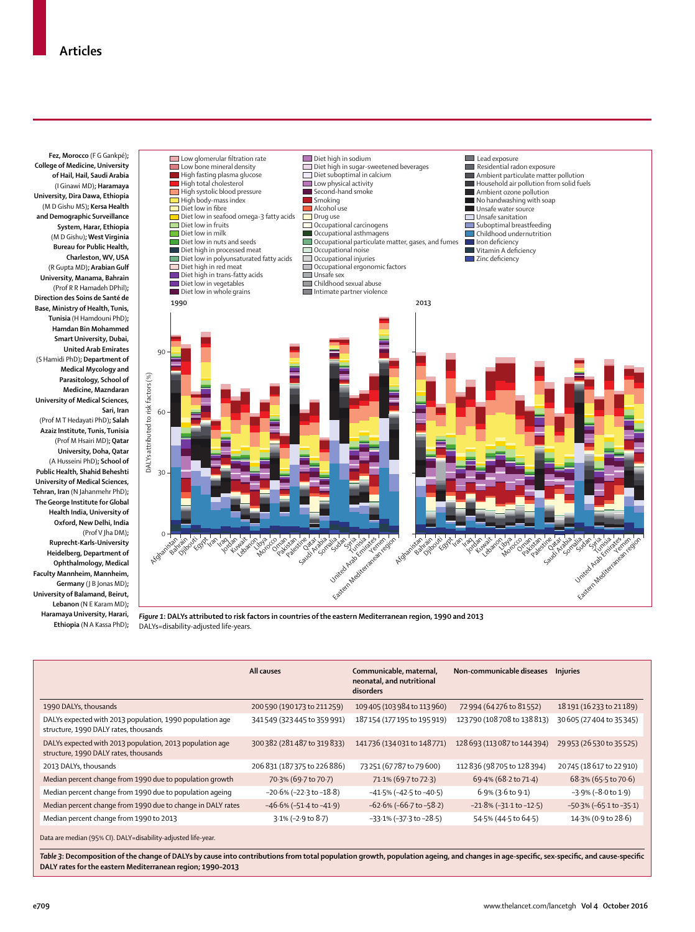

**Haramaya University, Harari, Ethiopia** (N A Kassa PhD)**;**

**DALY rates for the eastern Mediterranean region; 1990–2013** 

*Figure 1***: DALYs attributed to risk factors in countries of the eastern Mediterranean region, 1990 and 2013** DALYs=disability-adjusted life-years.

|                                                                                                                                                                                                                                                           | All causes                       | Communicable, maternal,<br>neonatal, and nutritional<br>disorders | Non-communicable diseases        | <b>Injuries</b>                 |
|-----------------------------------------------------------------------------------------------------------------------------------------------------------------------------------------------------------------------------------------------------------|----------------------------------|-------------------------------------------------------------------|----------------------------------|---------------------------------|
| 1990 DALYs, thousands                                                                                                                                                                                                                                     | 200 590 (190 173 to 211 259)     | 109 405 (103 984 to 113 960)                                      | 72 994 (64 276 to 81 552)        | 18 191 (16 233 to 21 189)       |
| DALYs expected with 2013 population, 1990 population age<br>structure, 1990 DALY rates, thousands                                                                                                                                                         | 341549 (323 445 to 359 991)      | 187154 (177195 to 195919)                                         | 123790 (108708 to 138813)        | 30 605 (27 404 to 35 345)       |
| DALYs expected with 2013 population, 2013 population age<br>structure, 1990 DALY rates, thousands                                                                                                                                                         | 300 382 (281 487 to 319 833)     | 141736 (134 031 to 148 771)                                       | 128 693 (113 0 87 to 144 394)    | 29 953 (26 530 to 35 525)       |
| 2013 DALYs, thousands                                                                                                                                                                                                                                     | 206 831 (187 375 to 226 886)     | 73 251 (67 787 to 79 600)                                         | 112 836 (98 705 to 128 394)      | 20745 (18 617 to 22 910)        |
| Median percent change from 1990 due to population growth                                                                                                                                                                                                  | 70.3% (69.7 to 70.7)             | 71.1% (69.7 to 72.3)                                              | 69.4% (68.2 to 71.4)             | 68.3% (65.5 to 70.6)            |
| Median percent change from 1990 due to population ageing                                                                                                                                                                                                  | $-20.6\%$ ( $-22.3$ to $-18.8$ ) | $-41.5\%$ (-42.5 to -40.5)                                        | $6.9\%$ (3.6 to 9.1)             | $-3.9\% (-8.0 \text{ to } 1.9)$ |
| Median percent change from 1990 due to change in DALY rates                                                                                                                                                                                               | $-46.6\%$ ( $-51.4$ to $-41.9$ ) | $-62.6\%$ (-66.7 to -58.2)                                        | $-21.8\%$ ( $-31.1$ to $-12.5$ ) | $-50.3\%$ (-65.1 to $-35.1$ )   |
| Median percent change from 1990 to 2013                                                                                                                                                                                                                   | $3.1\%$ (-2.9 to 8.7)            | $-33.1\%$ ( $-37.3$ to $-28.5$ )                                  | 54.5% (44.5 to 64.5)             | 14.3% (0.9 to 28.6)             |
| Data are median (95% CI). DALY=disability-adjusted life-year.<br>Table 3: Decomposition of the change of DALYs by cause into contributions from total population growth, population ageing, and changes in age-specific, sex-specific, and cause-specific |                                  |                                                                   |                                  |                                 |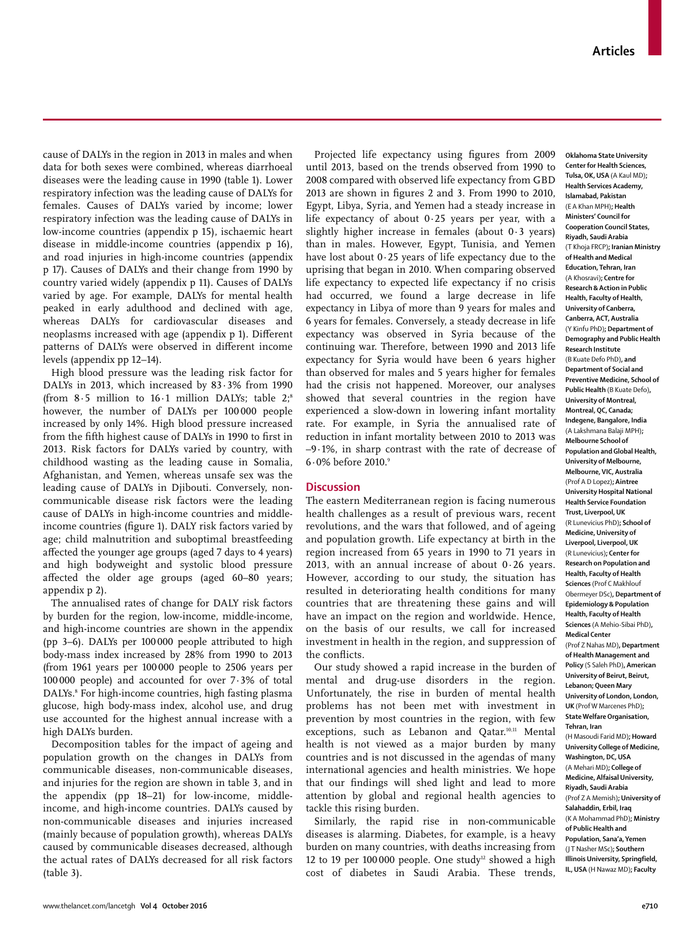cause of DALYs in the region in 2013 in males and when data for both sexes were combined, whereas diarrhoeal diseases were the leading cause in 1990 (table 1). Lower respiratory infection was the leading cause of DALYs for females. Causes of DALYs varied by income; lower respiratory infection was the leading cause of DALYs in low-income countries (appendix p 15), ischaemic heart disease in middle-income countries (appendix p 16), and road injuries in high-income countries (appendix p 17). Causes of DALYs and their change from 1990 by country varied widely (appendix p 11). Causes of DALYs varied by age. For example, DALYs for mental health peaked in early adulthood and declined with age, whereas DALYs for cardiovascular diseases and neoplasms increased with age (appendix p 1). Different patterns of DALYs were observed in different income levels (appendix pp 12–14).

High blood pressure was the leading risk factor for DALYs in 2013, which increased by 83·3% from 1990 (from  $8.5$  million to  $16.1$  million DALYs; table 2;<sup>8</sup> however, the number of DALYs per 100 000 people increased by only 14%. High blood pressure increased from the fifth highest cause of DALYs in 1990 to first in 2013. Risk factors for DALYs varied by country, with childhood wasting as the leading cause in Somalia, Afghanistan, and Yemen, whereas unsafe sex was the leading cause of DALYs in Djibouti. Conversely, noncommunicable disease risk factors were the leading cause of DALYs in high-income countries and middleincome countries (figure 1). DALY risk factors varied by age; child malnutrition and suboptimal breastfeeding affected the younger age groups (aged 7 days to 4 years) and high bodyweight and systolic blood pressure affected the older age groups (aged 60–80 years; appendix p 2).

The annualised rates of change for DALY risk factors by burden for the region, low-income, middle-income, and high-income countries are shown in the appendix (pp 3–6). DALYs per 100 000 people attributed to high body-mass index increased by 28% from 1990 to 2013 (from 1961 years per 100 000 people to 2506 years per 100 000 people) and accounted for over 7·3% of total DALYs.8 For high-income countries, high fasting plasma glucose, high body-mass index, alcohol use, and drug use accounted for the highest annual increase with a high DALYs burden.

Decomposition tables for the impact of ageing and population growth on the changes in DALYs from communicable diseases, non-communicable diseases, and injuries for the region are shown in table 3, and in the appendix (pp 18–21) for low-income, middleincome, and high-income countries. DALYs caused by non-communicable diseases and injuries increased (mainly because of population growth), whereas DALYs caused by communicable diseases decreased, although the actual rates of DALYs decreased for all risk factors (table 3).

Projected life expectancy using figures from 2009 until 2013, based on the trends observed from 1990 to 2008 compared with observed life expectancy from GBD  $2013$  are shown in figures 2 and 3. From 1990 to 2010, Egypt, Libya, Syria, and Yemen had a steady increase in life expectancy of about 0·25 years per year, with a slightly higher increase in females (about 0·3 years) than in males. However, Egypt, Tunisia, and Yemen have lost about 0·25 years of life expectancy due to the uprising that began in 2010. When comparing observed life expectancy to expected life expectancy if no crisis had occurred, we found a large decrease in life expectancy in Libya of more than 9 years for males and 6 years for females. Conversely, a steady decrease in life expectancy was observed in Syria because of the continuing war. Therefore, between 1990 and 2013 life expectancy for Syria would have been 6 years higher than observed for males and 5 years higher for females had the crisis not happened. Moreover, our analyses showed that several countries in the region have experienced a slow-down in lowering infant mortality rate. For example, in Syria the annualised rate of reduction in infant mortality between 2010 to 2013 was –9·1%, in sharp contrast with the rate of decrease of 6·0% before 2010.9

## **Discussion**

The eastern Mediterranean region is facing numerous health challenges as a result of previous wars, recent revolutions, and the wars that followed, and of ageing and population growth. Life expectancy at birth in the region increased from 65 years in 1990 to 71 years in 2013, with an annual increase of about  $0.26$  years. However, according to our study, the situation has resulted in deteriorating health conditions for many countries that are threatening these gains and will have an impact on the region and worldwide. Hence, on the basis of our results, we call for increased investment in health in the region, and suppression of the conflicts.

Our study showed a rapid increase in the burden of mental and drug-use disorders in the region. Unfortunately, the rise in burden of mental health problems has not been met with investment in prevention by most countries in the region, with few exceptions, such as Lebanon and Qatar.<sup>10,11</sup> Mental health is not viewed as a major burden by many countries and is not discussed in the agendas of many international agencies and health ministries. We hope that our findings will shed light and lead to more attention by global and regional health agencies to tackle this rising burden.

Similarly, the rapid rise in non-communicable diseases is alarming. Diabetes, for example, is a heavy burden on many countries, with deaths increasing from 12 to 19 per 100 000 people. One study<sup>12</sup> showed a high cost of diabetes in Saudi Arabia. These trends,

**Oklahoma State University Center for Health Sciences, Tulsa, OK, USA** (A Kaul MD)**; Health Services Academy, Islamabad, Pakistan**  (E A Khan MPH)**; Health Ministers' Council for Cooperation Council States, Riyadh, Saudi Arabia**  (T Khoja FRCP)**; Iranian Ministry of Health and Medical Education, Tehran, Iran**  (A Khosravi)**; Centre for Research & Action in Public Health, Faculty of Health, University of Canberra, Canberra, ACT, Australia**  (Y Kinfu PhD)**; Department of Demography and Public Health Research Institute**  (B Kuate Defo PhD)**, and Department of Social and Preventive Medicine, School of Public Health** (B Kuate Defo)**, University of Montreal, Montreal, QC, Canada; Indegene, Bangalore, India**  (A Lakshmana Balaji MPH)**; Melbourne School of Population and Global Health, University of Melbourne, Melbourne, VIC, Australia**  (Prof A D Lopez)**; Aintree University Hospital National Health Service Foundation Trust, Liverpool, UK**  (R Lunevicius PhD)**; School of Medicine, University of Liverpool, Liverpool, UK**  (R Lunevicius)**; Center for Research on Population and Health, Faculty of Health Sciences** (Prof C Makhlouf Obermeyer DSc)**, Department of Epidemiology & Population Health, Faculty of Health Sciences** (A Mehio-Sibai PhD)**, Medical Center**  (Prof Z Nahas MD)**, Department of Health Management and Policy** (S Saleh PhD)**, American University of Beirut, Beirut, Lebanon; Queen Mary University of London, London, UK** (Prof W Marcenes PhD)**; State Welfare Organisation, Tehran, Iran**  (H Masoudi Farid MD)**; Howard University College of Medicine, Washington, DC, USA**  (A Mehari MD)**; College of Medicine, Alfaisal University, Riyadh, Saudi Arabia**  (Prof Z A Memish)**; University of Salahaddin, Erbil, Iraq**  (K A Mohammad PhD)**; Ministry of Public Health and Population, Sana'a, Yemen**  (J T Nasher MSc)**; Southern Illinois University, Springfield, IL, USA** (H Nawaz MD)**; Faculty**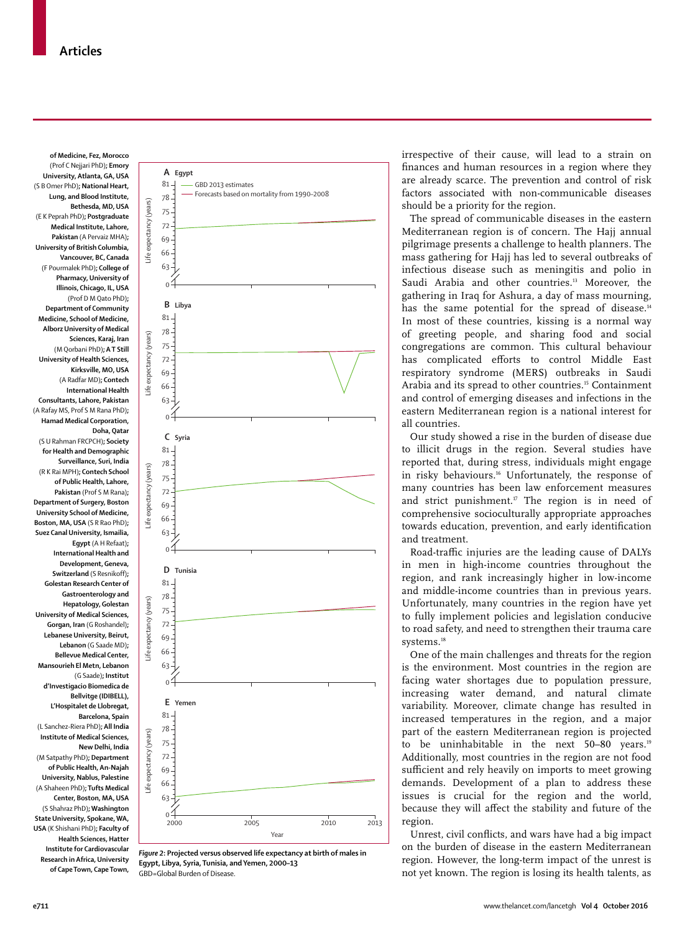**of Medicine, Fez, Morocco**  (Prof C Nejjari PhD)**; Emory University, Atlanta, GA, USA**  (S B Omer PhD)**; National Heart, Lung, and Blood Institute, Bethesda, MD, USA**  (E K Peprah PhD)**; Postgraduate Medical Institute, Lahore, Pakistan** (A Pervaiz MHA)**; University of British Columbia, Vancouver, BC, Canada**  (F Pourmalek PhD)**; College of Pharmacy, University of Illinois, Chicago, IL, USA**  (Prof D M Qato PhD)**; Department of Community Medicine, School of Medicine, Alborz University of Medical Sciences, Karaj, Iran**  (M Qorbani PhD)**; A T Still University of Health Sciences, Kirksville, MO, USA**  (A Radfar MD)**; Contech International Health Consultants, Lahore, Pakistan**  (A Rafay MS, Prof S M Rana PhD)**; Hamad Medical Corporation, Doha, Qatar**  (S U Rahman FRCPCH)**; Society for Health and Demographic Surveillance, Suri, India**  (R K Rai MPH)**; Contech School of Public Health, Lahore, Pakistan** (Prof S M Rana)**; Department of Surgery, Boston University School of Medicine, Boston, MA, USA** (S R Rao PhD)**; Suez Canal University, Ismailia, Egypt** (A H Refaat)**; International Health and Development, Geneva, Switzerland** (S Resnikoff)**; Golestan Research Center of Gastroenterology and Hepatology, Golestan University of Medical Sciences, Gorgan, Iran** (G Roshandel)**; Lebanese University, Beirut, Lebanon** (G Saade MD)**; Bellevue Medical Center, Mansourieh El Metn, Lebanon**  (G Saade)**; Institut d'Investigacio Biomedica de Bellvitge (IDIBELL), L'Hospitalet de Llobregat, Barcelona, Spain**  (L Sanchez-Riera PhD)**; All India Institute of Medical Sciences, New Delhi, India**  (M Satpathy PhD)**; Department of Public Health, An-Najah University, Nablus, Palestine**  (A Shaheen PhD)**; Tufts Medical Center, Boston, MA, USA**  (S Shahraz PhD)**; Washington State University, Spokane, WA, USA** (K Shishani PhD)**; Faculty of Health Sciences, Hatter Institute for Cardiovascular Research in Africa, University of Cape Town, Cape Town,**

Life



*Figure 2***: Projected versus observed life expectancy at birth of males in Egypt, Libya, Syria, Tunisia, and Yemen, 2000–13** GBD=Global Burden of Disease.

irrespective of their cause, will lead to a strain on finances and human resources in a region where they are already scarce. The prevention and control of risk factors associated with non-communicable diseases should be a priority for the region.

The spread of communicable diseases in the eastern Mediterranean region is of concern. The Hajj annual pilgrimage presents a challenge to health planners. The mass gathering for Hajj has led to several outbreaks of infectious disease such as meningitis and polio in Saudi Arabia and other countries.<sup>13</sup> Moreover, the gathering in Iraq for Ashura, a day of mass mourning, has the same potential for the spread of disease.<sup>14</sup> In most of these countries, kissing is a normal way of greeting people, and sharing food and social congregations are common. This cultural behaviour has complicated efforts to control Middle East respiratory syndrome (MERS) outbreaks in Saudi Arabia and its spread to other countries.<sup>15</sup> Containment and control of emerging diseases and infections in the eastern Mediterranean region is a national interest for all countries.

Our study showed a rise in the burden of disease due to illicit drugs in the region. Several studies have reported that, during stress, individuals might engage in risky behaviours.<sup>16</sup> Unfortunately, the response of many countries has been law enforcement measures and strict punishment.<sup>17</sup> The region is in need of comprehensive socioculturally appropriate approaches towards education, prevention, and early identification and treatment.

Road-traffic injuries are the leading cause of DALYs in men in high-income countries throughout the region, and rank increasingly higher in low-income and middle-income countries than in previous years. Unfortunately, many countries in the region have yet to fully implement policies and legislation conducive to road safety, and need to strengthen their trauma care systems.<sup>18</sup>

One of the main challenges and threats for the region is the environment. Most countries in the region are facing water shortages due to population pressure, increasing water demand, and natural climate variability. Moreover, climate change has resulted in increased temperatures in the region, and a major part of the eastern Mediterranean region is projected to be uninhabitable in the next 50-80 years.<sup>19</sup> Additionally, most countries in the region are not food sufficient and rely heavily on imports to meet growing demands. Development of a plan to address these issues is crucial for the region and the world, because they will affect the stability and future of the region.

Unrest, civil conflicts, and wars have had a big impact on the burden of disease in the eastern Mediterranean region. However, the long-term impact of the unrest is not yet known. The region is losing its health talents, as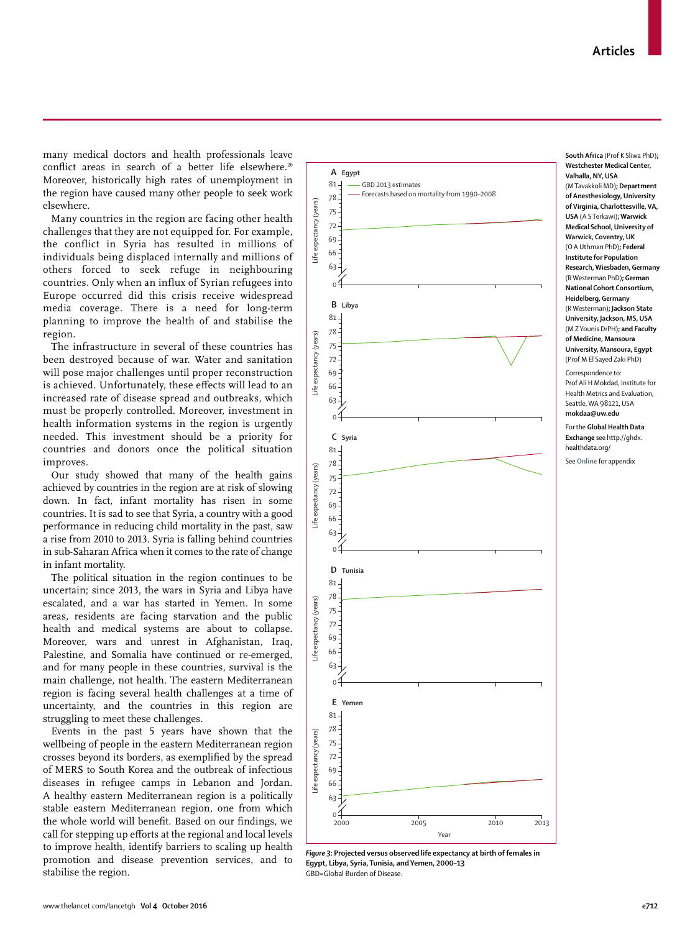many medical doctors and health professionals leave conflict areas in search of a better life elsewhere.<sup>20</sup> Moreover, historically high rates of unemployment in the region have caused many other people to seek work elsewhere.

Many countries in the region are facing other health challenges that they are not equipped for. For example, the conflict in Syria has resulted in millions of individuals being displaced internally and millions of others forced to seek refuge in neighbouring countries. Only when an influx of Syrian refugees into Europe occurred did this crisis receive widespread media coverage. There is a need for long-term planning to improve the health of and stabilise the region.

The infrastructure in several of these countries has been destroyed because of war. Water and sanitation will pose major challenges until proper reconstruction is achieved. Unfortunately, these effects will lead to an increased rate of disease spread and outbreaks, which must be properly controlled. Moreover, investment in health information systems in the region is urgently needed. This investment should be a priority for countries and donors once the political situation improves.

Our study showed that many of the health gains achieved by countries in the region are at risk of slowing down. In fact, infant mortality has risen in some countries. It is sad to see that Syria, a country with a good performance in reducing child mortality in the past, saw a rise from 2010 to 2013. Syria is falling behind countries in sub-Saharan Africa when it comes to the rate of change in infant mortality.

The political situation in the region continues to be uncertain; since 2013, the wars in Syria and Libya have escalated, and a war has started in Yemen. In some areas, residents are facing starvation and the public health and medical systems are about to collapse. Moreover, wars and unrest in Afghanistan, Iraq, Palestine, and Somalia have continued or re-emerged, and for many people in these countries, survival is the main challenge, not health. The eastern Mediterranean region is facing several health challenges at a time of uncertainty, and the countries in this region are struggling to meet these challenges.

Events in the past 5 years have shown that the wellbeing of people in the eastern Mediterranean region crosses beyond its borders, as exemplified by the spread of MERS to South Korea and the outbreak of infectious diseases in refugee camps in Lebanon and Jordan. A healthy eastern Mediterranean region is a politically stable eastern Mediterranean region, one from which the whole world will benefit. Based on our findings, we call for stepping up efforts at the regional and local levels to improve health, identify barriers to scaling up health promotion and disease prevention services, and to stabilise the region.



*Figure 3***: Projected versus observed life expectancy at birth of females in Egypt, Libya, Syria, Tunisia, and Yemen, 2000–13** GBD=Global Burden of Disease.

**South Africa** (Prof K Sliwa PhD)**; Westchester Medical Center, Valhalla, NY, USA**  (M Tavakkoli MD)**; Department of Anesthesiology, University of Virginia, Charlottesville, VA, USA** (A S Terkawi)**; Warwick Medical School, University of Warwick, Coventry, UK**  (O A Uthman PhD)**; Federal Institute for Population Research, Wiesbaden, Germany**  (R Westerman PhD)**; German National Cohort Consortium, Heidelberg, Germany**  (R Westerman)**; Jackson State University, Jackson, MS, USA**  (M Z Younis DrPH)**; and Faculty of Medicine, Mansoura University, Mansoura, Egypt**  (Prof M El Sayed Zaki PhD) Correspondence to: Prof Ali H Mokdad, Institute for Health Metrics and Evaluation, Seattle, WA 98121, USA

**mokdaa@uw.edu**

For the **Global Health Data Exchange** see http://ghdx. healthdata.org/

See **Online** for appendix